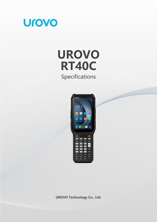

# **UROVO RT40C** Specifications



**UROVO Technology Co., Ltd.**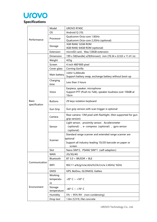

|                               | Model            | <b>UROVO RT40C</b>                                                              |  |
|-------------------------------|------------------|---------------------------------------------------------------------------------|--|
|                               | OS               | Android Q (10)                                                                  |  |
|                               |                  | Qualcomm Octa-core 1.8GHz                                                       |  |
| Performance                   | Processor        | Qualcomm Octa-core 2.2GHz (optional)                                            |  |
|                               | Storage          | 3GB RAM/ 32GB ROM                                                               |  |
|                               |                  | 4GB RAM/ 64GB ROM (optional)                                                    |  |
|                               | Extension        | microSD card, Max.128GB extension                                               |  |
|                               | Dimension        | 199 x 58(handle) x29(thinnest) mm (78.34 x 22.83 x 11.41 in)                    |  |
|                               | Weight           | 425q                                                                            |  |
|                               | Screen           | 4 inch 480*800 pixel                                                            |  |
|                               | Cover glass      | Corning Gorilla                                                                 |  |
|                               |                  | 3.85V 5,200mAh                                                                  |  |
|                               | Main battery     | Support battery swap, exchange battery without boot-up                          |  |
|                               | Charging<br>time | Less than 3 hours                                                               |  |
|                               |                  | Earpiece, speaker, microphone                                                   |  |
|                               | Voice            | Support PTT (Push-to-Talk), speaker loudness over 100dB at                      |  |
|                               |                  | 10cm                                                                            |  |
| <b>Basic</b><br>specification | <b>Buttons</b>   | 29 keys isolation keyboard                                                      |  |
|                               | Gun Grip         | Gun grip version with scan trigger is optional                                  |  |
|                               | Camera           | Rear camera: 13M pixel with flashlight. (Not supported for gun<br>grip version) |  |
|                               | Sensor           | Light sensor, proximity sensor, Accelerometer                                   |  |
|                               |                  | (optional), e-compress (optional), gyro sensor                                  |  |
|                               |                  | (optional)                                                                      |  |
|                               | Scanner          | Standard range scanner and extended range scanner are                           |  |
|                               |                  | optional                                                                        |  |
|                               |                  | Support all industry-leading 1D/2D barcode on paper or<br>screen                |  |
|                               | Slot             | Nano SIM*2, PSAM/ SIM*1 (self-adaption)                                         |  |
|                               | <b>WAN</b>       | 2G/3G/4G                                                                        |  |
|                               | Bluetooth        | $BT 5.0 + BR/EDR + BLE$                                                         |  |
| Communication                 | <b>WIFI</b>      | 802.11 a/b/g/n/ac/d/e/h/i/k/r/v/w 2.4GHz/ 5GHz                                  |  |
|                               | <b>GNSS</b>      | GPS, BeiDou, GLONASS, Galileo                                                   |  |
|                               | Working          |                                                                                 |  |
|                               | temperatu        | -20 $^{\circ}$ C ~ +50 $^{\circ}$ C                                             |  |
|                               | re               |                                                                                 |  |
| Environment                   | Storage          |                                                                                 |  |
|                               | temperature      | -40° C ~ +70° C                                                                 |  |
|                               | Humidity         | $5\% \sim 95\%$ RH (non-condensing)                                             |  |
|                               | Drop test        | 1.8m (5.9 ft.) flat concrete                                                    |  |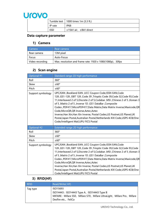# Urovo

|         | Tumble test   1000 times 1m (3.3 ft.) |
|---------|---------------------------------------|
| IP rate | <b>IP68</b>                           |
| ESD     | ±15kV air, ±8kV direct                |

#### **Data capture parameter**

#### **1) Camera**

| Camera          | Rear camera                                               |
|-----------------|-----------------------------------------------------------|
| Rear camera     | 13M pixel                                                 |
| Focus           | Auto-Focus                                                |
| Video recording | Max. resolution and frame rate: 1920 x 1080(1080p), 30fps |

# **2) Scan engine**

| Optional #1       | Standard range 2D high performance                                                                                                                                                                                                                                                                                                                                                                                                                                                                                                                                                                                   |
|-------------------|----------------------------------------------------------------------------------------------------------------------------------------------------------------------------------------------------------------------------------------------------------------------------------------------------------------------------------------------------------------------------------------------------------------------------------------------------------------------------------------------------------------------------------------------------------------------------------------------------------------------|
| Roll              | 360°                                                                                                                                                                                                                                                                                                                                                                                                                                                                                                                                                                                                                 |
| Skew              | $±60^{\circ}$                                                                                                                                                                                                                                                                                                                                                                                                                                                                                                                                                                                                        |
| Pitch             | ±60°                                                                                                                                                                                                                                                                                                                                                                                                                                                                                                                                                                                                                 |
| Support symbology | UPC/EAN , Bookland EAN , UCC Coupon Code, ISSN EAN, Code<br>128, GS1-128, ISBT 128, Code 39, Trioptic Code 39, Code 32, Code 93, Code<br>11, Interleaved 2 of 5, Discrete 2 of 5, Codabar, MSI, Chinese 2 of 5, Korean 3<br>of 5, Matrix 2 of 5, Inverse 1D, GS1 DataBar, Composite<br>Codes, PDF417, MicroPDF417, Data Matrix, Data Matrix Inverse, Maxicode, QR<br>Code, MicroQR, QR Inverse, Aztec, Aztec<br>Inverse, Han Xin, Han Xin Inverse, Postal Codes, US Postnet, US Planet, UK<br>Postal, Japan Postal, Australian Postal, Netherlands KIX Code, USPS 4CB/One<br>Code/Intelligent Mail, UPU FICS Postal  |
| Optional #2       | Extended range 2D high performance                                                                                                                                                                                                                                                                                                                                                                                                                                                                                                                                                                                   |
| Roll              | 360°                                                                                                                                                                                                                                                                                                                                                                                                                                                                                                                                                                                                                 |
| Skew              | $±60^{\circ}$                                                                                                                                                                                                                                                                                                                                                                                                                                                                                                                                                                                                        |
| Pitch             | ±60°                                                                                                                                                                                                                                                                                                                                                                                                                                                                                                                                                                                                                 |
| Support symbology | UPC/EAN , Bookland EAN , UCC Coupon Code, ISSN EAN, Code<br>128, GS1-128, ISBT 128, Code 39, Trioptic Code 39, Code 32, Code 93, Code<br>11, Interleaved 2 of 5, Discrete 2 of 5, Codabar, MSI, Chinese 2 of 5, Korean 3<br>of 5, Matrix 2 of 5, Inverse 1D, GS1 DataBar, Composite<br>Codes , PDF417, MicroPDF417, Data Matrix, Data Matrix Inverse, Maxicode, QR<br>Code, MicroQR, QR Inverse, Aztec, Aztec<br>Inverse, Han Xin, Han Xin Inverse, Postal Codes, US Postnet, US Planet, UK<br>Postal, Japan Postal, Australian Postal, Netherlands KIX Code, USPS 4CB/One<br>Code/Intelligent Mail, UPU FICS Postal |

# **3)RFID(HF)**

| <b>RFID</b> | Read/Write(HF)                                                                                                                              |
|-------------|---------------------------------------------------------------------------------------------------------------------------------------------|
| Tag type    | ISO15693                                                                                                                                    |
|             | ISO14443: ISO14443 Type A, ISO14443 Type B<br>MIFARE: Mifare S50, Mifare S70, Mifare UltraLight, Mifare Pro, Mifare<br>Desfire etc., FeliCa |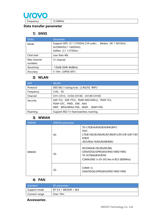

Frequency 13.56MHz

#### **Data transfer parameter**

#### **1) GNSS**

| <b>GNSS</b>            | Parameter                                                                                                   |
|------------------------|-------------------------------------------------------------------------------------------------------------|
| Mode                   | Support GPS (L1 1.575GHz C/A code), Beidou (B1 1.561GHz),<br>GLONASS(L1 1.602GHz),<br>Galileo (L1 1.575Ghz) |
| Clod start             | Less than 40s                                                                                               |
| Max channel<br>numbers | 31 channel                                                                                                  |
| Sensitivity            | $-130dB$ (SNR 40dBHz)                                                                                       |
| Accuracy               | 5-10m (OPEN SKY)                                                                                            |

#### **2) WLAN**

| <b>Wifi</b> | <b>WLAN</b>                                                                                                 |
|-------------|-------------------------------------------------------------------------------------------------------------|
| Protocol    | IEEE 802.11a/b/g/n/ac (2.4G/5G WIFI)                                                                        |
| Frequency   | 2.4G <sub>s</sub> 5G                                                                                        |
| Channel     | CH1-CH13, CH34-CH140, CH149-CH165                                                                           |
| Security    | EAP-TLS, EAP-TTLS, PEAP-MSCHAPv2, PEAP-TLS,<br>PEAP-GTC, PWD, SIM, AKA<br>WEP, WPA/WPA2-PSK, WAPI, WAPI-PSK |
| Roaming     | Support 802.11r fast/seamless roaming                                                                       |

#### **3) WWAN**

| <b>WWAN</b> | <b>WWAN</b> parameter |                                                                                                                                    |
|-------------|-----------------------|------------------------------------------------------------------------------------------------------------------------------------|
| <b>WWAN</b> | 4G                    | TD-LTE(B34/B38/B39/B40/B41)<br>FDD-<br>LTE(B1/B2/B3/B4/B5/B7/B8/B12/B13/B14/B17/B1<br>9/B <sub>20</sub><br>/B25/B26/B28A/B28B/B66) |
|             | 3G                    | WCDMA(B1/B2/B4/B5/B8)<br>GSM/EDGE/GPRS(850/900/1800/1900)<br>TD-SCDMA(B34/B39)<br>CDMA2000 1x EV-DO Rev.A BC0 (800MHz)             |
|             | 2G                    | CDMA 1x<br>GSM/EDGE/GPRS(850/900/1800/1900)                                                                                        |

#### **4) PAN**

| Standard      | BT parameter            |
|---------------|-------------------------|
| Support mode  | $BT 5.0 + BR/EDR + BLE$ |
| Connect range | Over 10m                |

### **Accessories**